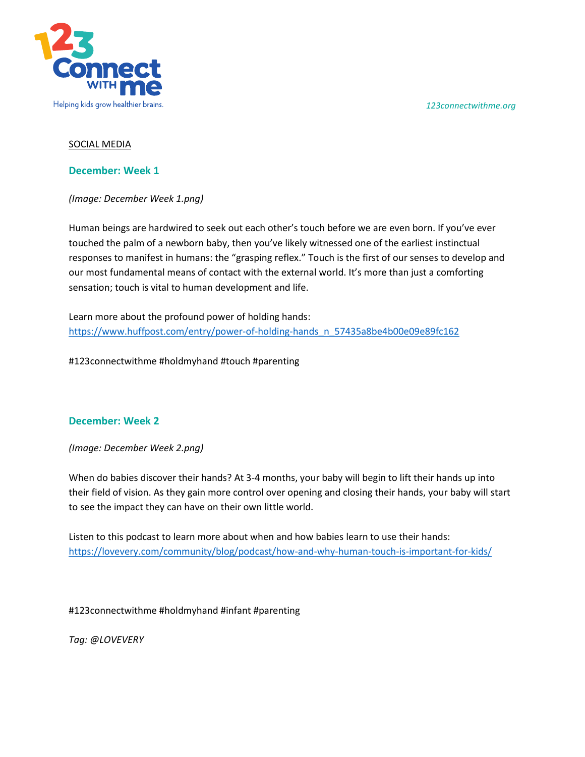*123connectwithme.org*



### SOCIAL MEDIA

#### **December: Week 1**

*(Image: December Week 1.png)* 

Human beings are hardwired to seek out each other's touch before we are even born. If you've ever touched the palm of a newborn baby, then you've likely witnessed one of the earliest instinctual responses to manifest in humans: the "grasping reflex." Touch is the first of our senses to develop and our most fundamental means of contact with the external world. It's more than just a comforting sensation; touch is vital to human development and life.

Learn more about the profound power of holding hands: [https://www.huffpost.com/entry/power-of-holding-hands\\_n\\_57435a8be4b00e09e89fc162](https://www.huffpost.com/entry/power-of-holding-hands_n_57435a8be4b00e09e89fc162)

#123connectwithme #holdmyhand #touch #parenting

### **December: Week 2**

*(Image: December Week 2.png)* 

When do babies discover their hands? At 3-4 months, your baby will begin to lift their hands up into their field of vision. As they gain more control over opening and closing their hands, your baby will start to see the impact they can have on their own little world.

Listen to this podcast to learn more about when and how babies learn to use their hands: <https://lovevery.com/community/blog/podcast/how-and-why-human-touch-is-important-for-kids/>

#123connectwithme #holdmyhand #infant #parenting

*Tag: @LOVEVERY*